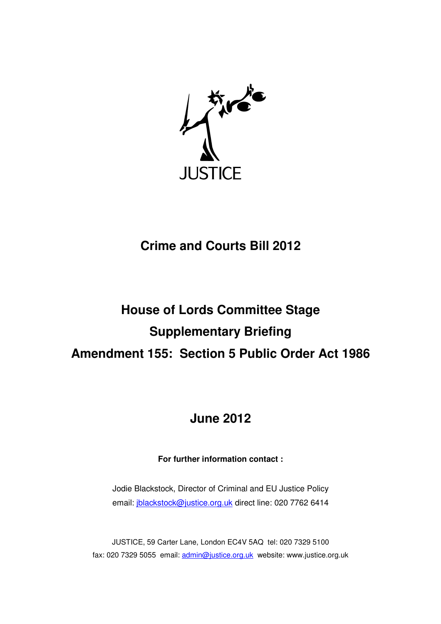

# **Crime and Courts Bill 2012**

# **House of Lords Committee Stage Supplementary Briefing Amendment 155: Section 5 Public Order Act 1986**

## **June 2012**

## **For further information contact :**

Jodie Blackstock, Director of Criminal and EU Justice Policy email: jblackstock@justice.org.uk direct line: 020 7762 6414

JUSTICE, 59 Carter Lane, London EC4V 5AQ tel: 020 7329 5100 fax: 020 7329 5055 email: admin@justice.org.uk website: www.justice.org.uk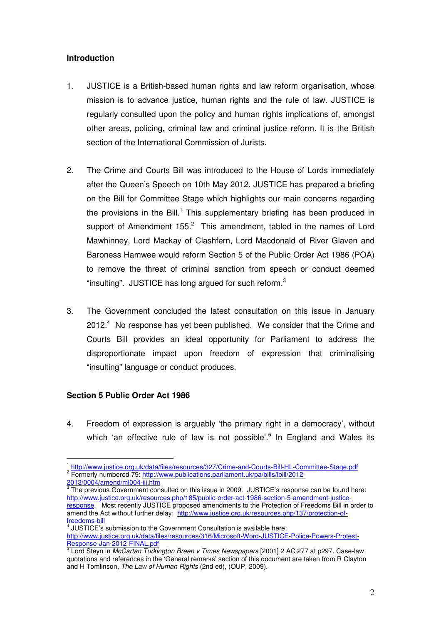### **Introduction**

- 1. JUSTICE is a British-based human rights and law reform organisation, whose mission is to advance justice, human rights and the rule of law. JUSTICE is regularly consulted upon the policy and human rights implications of, amongst other areas, policing, criminal law and criminal justice reform. It is the British section of the International Commission of Jurists.
- 2. The Crime and Courts Bill was introduced to the House of Lords immediately after the Queen's Speech on 10th May 2012. JUSTICE has prepared a briefing on the Bill for Committee Stage which highlights our main concerns regarding the provisions in the Bill.<sup>1</sup> This supplementary briefing has been produced in support of Amendment  $155.<sup>2</sup>$  This amendment, tabled in the names of Lord Mawhinney, Lord Mackay of Clashfern, Lord Macdonald of River Glaven and Baroness Hamwee would reform Section 5 of the Public Order Act 1986 (POA) to remove the threat of criminal sanction from speech or conduct deemed "insulting". JUSTICE has long argued for such reform. $3$
- 3. The Government concluded the latest consultation on this issue in January 2012.<sup>4</sup> No response has yet been published. We consider that the Crime and Courts Bill provides an ideal opportunity for Parliament to address the disproportionate impact upon freedom of expression that criminalising "insulting" language or conduct produces.

#### **Section 5 Public Order Act 1986**

 $\overline{a}$ 

4. Freedom of expression is arguably 'the primary right in a democracy', without which 'an effective rule of law is not possible'.**<sup>5</sup>** In England and Wales its

<sup>&</sup>lt;sup>1</sup> http://www.justice.org.uk/data/files/resources/327/Crime-and-Courts-Bill-HL-Committee-Stage.pdf <sup>2</sup> Formerly numbered 79: http://www.publications.parliament.uk/pa/bills/lbill/2012-

<sup>&</sup>lt;u>2013/0004/amend/ml004-iii.htm</u><br><sup>3</sup> The previous Government consulted on this issue in 2009. JUSTICE's response can be found here: http://www.justice.org.uk/resources.php/185/public-order-act-1986-section-5-amendment-justiceresponse. Most recently JUSTICE proposed amendments to the Protection of Freedoms Bill in order to amend the Act without further delay: http://www.justice.org.uk/resources.php/137/protection-offreedoms-bill 4

JUSTICE's submission to the Government Consultation is available here: http://www.justice.org.uk/data/files/resources/316/Microsoft-Word-JUSTICE-Police-Powers-Protest-

<sup>&</sup>lt;u>Response-Jan-2012-FINAL.pdf</u><br><sup>5</sup> Lord Steyn in *McCartan Turkington Breen v Times Newspapers* [2001] 2 AC 277 at p297. Case-law quotations and references in the 'General remarks' section of this document are taken from R Clayton and H Tomlinson, The Law of Human Rights (2nd ed), (OUP, 2009).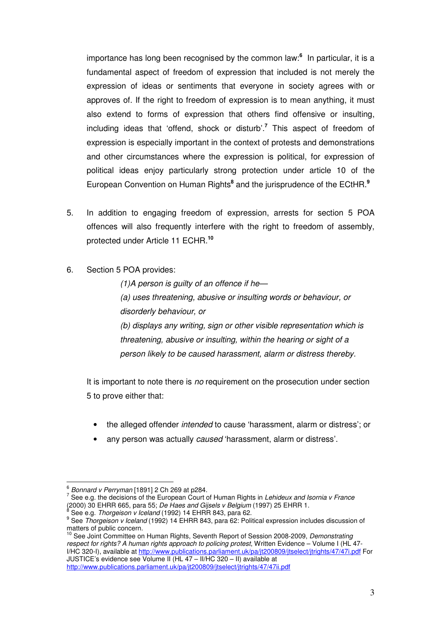importance has long been recognised by the common law:**<sup>6</sup>** In particular, it is a fundamental aspect of freedom of expression that included is not merely the expression of ideas or sentiments that everyone in society agrees with or approves of. If the right to freedom of expression is to mean anything, it must also extend to forms of expression that others find offensive or insulting, including ideas that 'offend, shock or disturb'.**<sup>7</sup>** This aspect of freedom of expression is especially important in the context of protests and demonstrations and other circumstances where the expression is political, for expression of political ideas enjoy particularly strong protection under article 10 of the European Convention on Human Rights<sup>8</sup> and the jurisprudence of the ECtHR.<sup>9</sup>

- 5. In addition to engaging freedom of expression, arrests for section 5 POA offences will also frequently interfere with the right to freedom of assembly, protected under Article 11 ECHR.**<sup>10</sup>**
- 6. Section 5 POA provides:

 $(1)$ A person is guilty of an offence if he-(a) uses threatening, abusive or insulting words or behaviour, or disorderly behaviour, or (b) displays any writing, sign or other visible representation which is threatening, abusive or insulting, within the hearing or sight of a

person likely to be caused harassment, alarm or distress thereby.

It is important to note there is no requirement on the prosecution under section 5 to prove either that:

- the alleged offender intended to cause 'harassment, alarm or distress'; or
- any person was actually caused 'harassment, alarm or distress'.

l.

 $7$  See e.g. the decisions of the European Court of Human Rights in Lehideux and Isornia v France (2000) 30 EHRR 665, para 55; *De Haes and Gijsels v Belgium* (1997) 25 EHRR 1.<br><sup>8</sup> See e g. *Therasisen v Iseland* (1993) 14 EHRR 943, para 63. See e.g. Thorgeison v Iceland (1992) 14 EHRR 843, para 62.

 $\frac{6}{2}$  Bonnard v Perryman [1891] 2 Ch 269 at p284.

<sup>&</sup>lt;sup>9</sup> See Thorgeison v Iceland (1992) 14 EHRR 843, para 62: Political expression includes discussion of matters of public concern.

<sup>&</sup>lt;sup>10</sup> See Joint Committee on Human Rights, Seventh Report of Session 2008-2009, Demonstrating respect for rights? A human rights approach to policing protest, Written Evidence – Volume I (HL 47- I/HC 320-I), available at http://www.publications.parliament.uk/pa/jt200809/jtselect/jtrights/47/47i.pdf For JUSTICE's evidence see Volume II (HL 47 – II/HC 320 – II) available at http://www.publications.parliament.uk/pa/jt200809/itselect/itrights/47/47ii.pdf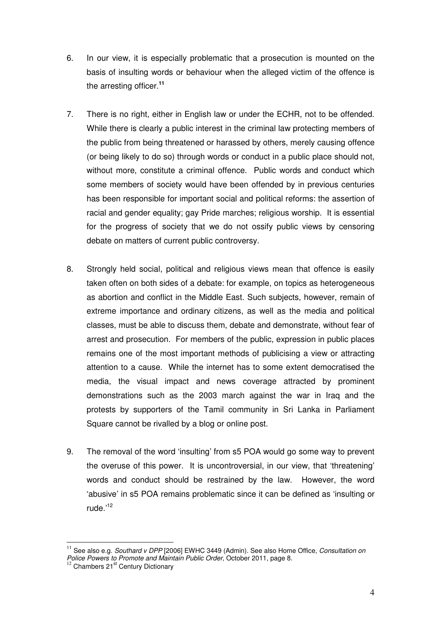- 6. In our view, it is especially problematic that a prosecution is mounted on the basis of insulting words or behaviour when the alleged victim of the offence is the arresting officer.**<sup>11</sup>**
- 7. There is no right, either in English law or under the ECHR, not to be offended. While there is clearly a public interest in the criminal law protecting members of the public from being threatened or harassed by others, merely causing offence (or being likely to do so) through words or conduct in a public place should not, without more, constitute a criminal offence. Public words and conduct which some members of society would have been offended by in previous centuries has been responsible for important social and political reforms: the assertion of racial and gender equality; gay Pride marches; religious worship. It is essential for the progress of society that we do not ossify public views by censoring debate on matters of current public controversy.
- 8. Strongly held social, political and religious views mean that offence is easily taken often on both sides of a debate: for example, on topics as heterogeneous as abortion and conflict in the Middle East. Such subjects, however, remain of extreme importance and ordinary citizens, as well as the media and political classes, must be able to discuss them, debate and demonstrate, without fear of arrest and prosecution. For members of the public, expression in public places remains one of the most important methods of publicising a view or attracting attention to a cause. While the internet has to some extent democratised the media, the visual impact and news coverage attracted by prominent demonstrations such as the 2003 march against the war in Iraq and the protests by supporters of the Tamil community in Sri Lanka in Parliament Square cannot be rivalled by a blog or online post.
- 9. The removal of the word 'insulting' from s5 POA would go some way to prevent the overuse of this power. It is uncontroversial, in our view, that 'threatening' words and conduct should be restrained by the law. However, the word 'abusive' in s5 POA remains problematic since it can be defined as 'insulting or rude.'<sup>12</sup>

l.

See also e.g. Southard v DPP [2006] EWHC 3449 (Admin). See also Home Office, Consultation on Police Powers to Promote and Maintain Public Order, October 2011, page 8.

<sup>&</sup>lt;sup>12</sup> Chambers 21<sup>st</sup> Century Dictionary